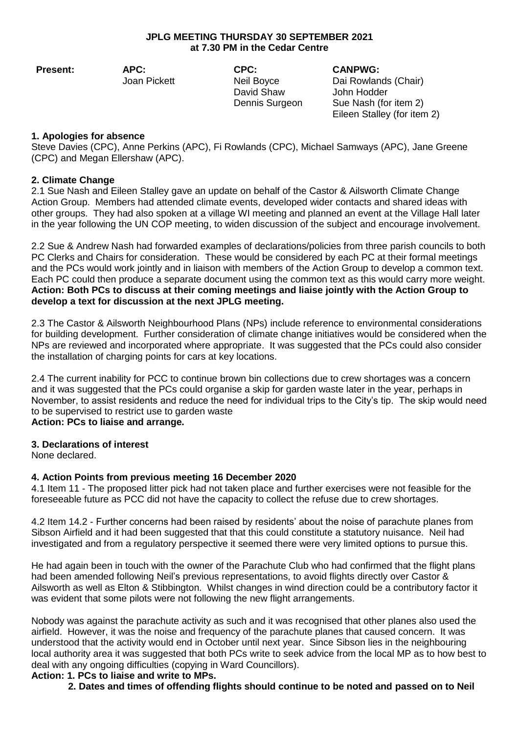## **JPLG MEETING THURSDAY 30 SEPTEMBER 2021 at 7.30 PM in the Cedar Centre**

**Present: APC:**

Joan Pickett

**CPC:** Neil Boyce David Shaw Dennis Surgeon **CANPWG:**

Dai Rowlands (Chair) John Hodder Sue Nash (for item 2) Eileen Stalley (for item 2)

## **1. Apologies for absence**

Steve Davies (CPC), Anne Perkins (APC), Fi Rowlands (CPC), Michael Samways (APC), Jane Greene (CPC) and Megan Ellershaw (APC).

# **2. Climate Change**

2.1 Sue Nash and Eileen Stalley gave an update on behalf of the Castor & Ailsworth Climate Change Action Group. Members had attended climate events, developed wider contacts and shared ideas with other groups. They had also spoken at a village WI meeting and planned an event at the Village Hall later in the year following the UN COP meeting, to widen discussion of the subject and encourage involvement.

2.2 Sue & Andrew Nash had forwarded examples of declarations/policies from three parish councils to both PC Clerks and Chairs for consideration. These would be considered by each PC at their formal meetings and the PCs would work jointly and in liaison with members of the Action Group to develop a common text. Each PC could then produce a separate document using the common text as this would carry more weight. **Action: Both PCs to discuss at their coming meetings and liaise jointly with the Action Group to develop a text for discussion at the next JPLG meeting.**

2.3 The Castor & Ailsworth Neighbourhood Plans (NPs) include reference to environmental considerations for building development. Further consideration of climate change initiatives would be considered when the NPs are reviewed and incorporated where appropriate. It was suggested that the PCs could also consider the installation of charging points for cars at key locations.

2.4 The current inability for PCC to continue brown bin collections due to crew shortages was a concern and it was suggested that the PCs could organise a skip for garden waste later in the year, perhaps in November, to assist residents and reduce the need for individual trips to the City's tip. The skip would need to be supervised to restrict use to garden waste

# **Action: PCs to liaise and arrange.**

## **3. Declarations of interest**

None declared.

# **4. Action Points from previous meeting 16 December 2020**

4.1 Item 11 - The proposed litter pick had not taken place and further exercises were not feasible for the foreseeable future as PCC did not have the capacity to collect the refuse due to crew shortages.

4.2 Item 14.2 - Further concerns had been raised by residents' about the noise of parachute planes from Sibson Airfield and it had been suggested that that this could constitute a statutory nuisance. Neil had investigated and from a regulatory perspective it seemed there were very limited options to pursue this.

He had again been in touch with the owner of the Parachute Club who had confirmed that the flight plans had been amended following Neil's previous representations, to avoid flights directly over Castor & Ailsworth as well as Elton & Stibbington. Whilst changes in wind direction could be a contributory factor it was evident that some pilots were not following the new flight arrangements.

Nobody was against the parachute activity as such and it was recognised that other planes also used the airfield. However, it was the noise and frequency of the parachute planes that caused concern. It was understood that the activity would end in October until next year. Since Sibson lies in the neighbouring local authority area it was suggested that both PCs write to seek advice from the local MP as to how best to deal with any ongoing difficulties (copying in Ward Councillors).

# **Action: 1. PCs to liaise and write to MPs.**

 **2. Dates and times of offending flights should continue to be noted and passed on to Neil**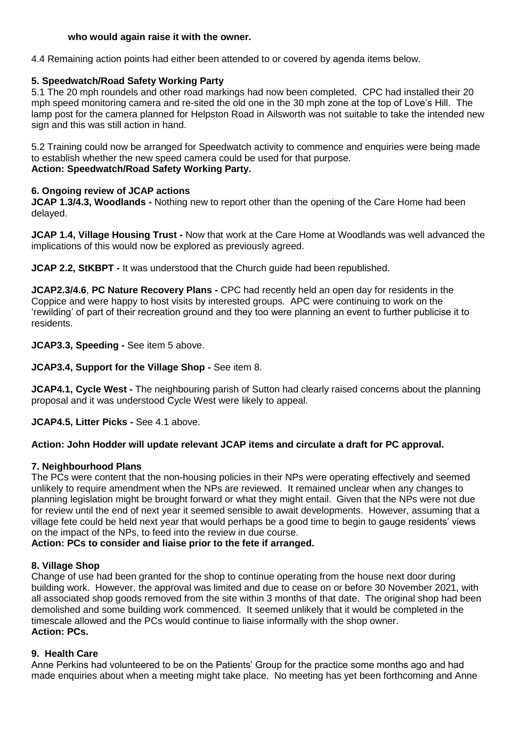## **who would again raise it with the owner.**

4.4 Remaining action points had either been attended to or covered by agenda items below.

## **5. Speedwatch/Road Safety Working Party**

5.1 The 20 mph roundels and other road markings had now been completed. CPC had installed their 20 mph speed monitoring camera and re-sited the old one in the 30 mph zone at the top of Love's Hill. The lamp post for the camera planned for Helpston Road in Ailsworth was not suitable to take the intended new sign and this was still action in hand.

5.2 Training could now be arranged for Speedwatch activity to commence and enquiries were being made to establish whether the new speed camera could be used for that purpose. **Action: Speedwatch/Road Safety Working Party.**

## **6. Ongoing review of JCAP actions**

**JCAP 1.3/4.3, Woodlands -** Nothing new to report other than the opening of the Care Home had been delayed.

**JCAP 1.4, Village Housing Trust -** Now that work at the Care Home at Woodlands was well advanced the implications of this would now be explored as previously agreed.

**JCAP 2.2, StKBPT -** It was understood that the Church guide had been republished.

**JCAP2.3/4.6**, **PC Nature Recovery Plans -** CPC had recently held an open day for residents in the Coppice and were happy to host visits by interested groups. APC were continuing to work on the 'rewilding' of part of their recreation ground and they too were planning an event to further publicise it to residents.

**JCAP3.3, Speeding -** See item 5 above.

**JCAP3.4, Support for the Village Shop -** See item 8.

**JCAP4.1, Cycle West -** The neighbouring parish of Sutton had clearly raised concerns about the planning proposal and it was understood Cycle West were likely to appeal.

**JCAP4.5, Litter Picks -** See 4.1 above.

## **Action: John Hodder will update relevant JCAP items and circulate a draft for PC approval.**

## **7. Neighbourhood Plans**

The PCs were content that the non-housing policies in their NPs were operating effectively and seemed unlikely to require amendment when the NPs are reviewed. It remained unclear when any changes to planning legislation might be brought forward or what they might entail. Given that the NPs were not due for review until the end of next year it seemed sensible to await developments. However, assuming that a village fete could be held next year that would perhaps be a good time to begin to gauge residents' views on the impact of the NPs, to feed into the review in due course.

**Action: PCs to consider and liaise prior to the fete if arranged.**

## **8. Village Shop**

Change of use had been granted for the shop to continue operating from the house next door during building work. However, the approval was limited and due to cease on or before 30 November 2021, with all associated shop goods removed from the site within 3 months of that date. The original shop had been demolished and some building work commenced. It seemed unlikely that it would be completed in the timescale allowed and the PCs would continue to liaise informally with the shop owner. **Action: PCs.**

## **9. Health Care**

Anne Perkins had volunteered to be on the Patients' Group for the practice some months ago and had made enquiries about when a meeting might take place. No meeting has yet been forthcoming and Anne